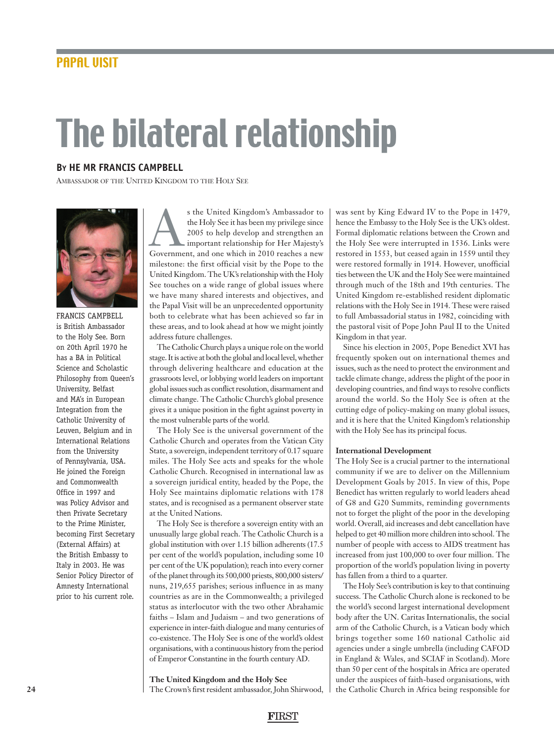# The bilateral relationship

# **BY HE MR FRANCIS CAMPBELL**

AMBASSADOR OF THE UNITED KINGDOM TO THE HOLY SEE



FRANCIS CAMPBELL is British Ambassador to the Holy See. Born on 20th April 1970 he has a BA in Political Science and Scholastic Philosophy from Queen's University, Belfast and MA's in European Integration from the Catholic University of Leuven, Belgium and in International Relations from the University of Pennsylvania, USA. He joined the Foreign and Commonwealth Office in 1997 and was Policy Advisor and then Private Secretary to the Prime Minister, becoming First Secretary (External Affairs) at the British Embassy to Italy in 2003. He was Senior Policy Director of Amnesty International prior to his current role.

s the United Kingdom's Ambassador to<br>
the Holy See it has been my privilege since<br>
2005 to help develop and strengthen an<br>
important relationship for Her Majesty's<br>
Government, and one which in 2010 reaches a new the Holy See it has been my privilege since 2005 to help develop and strengthen an important relationship for Her Majesty's milestone: the first official visit by the Pope to the United Kingdom. The UK's relationship with the Holy See touches on a wide range of global issues where we have many shared interests and objectives, and the Papal Visit will be an unprecedented opportunity both to celebrate what has been achieved so far in these areas, and to look ahead at how we might jointly address future challenges.

The Catholic Church plays a unique role on the world stage. It is active at both the global and local level, whether through delivering healthcare and education at the grassroots level, or lobbying world leaders on important global issues such as conflict resolution, disarmament and climate change. The Catholic Church's global presence gives it a unique position in the fight against poverty in the most vulnerable parts of the world.

The Holy See is the universal government of the Catholic Church and operates from the Vatican City State, a sovereign, independent territory of 0.17 square miles. The Holy See acts and speaks for the whole Catholic Church. Recognised in international law as a sovereign juridical entity, headed by the Pope, the Holy See maintains diplomatic relations with 178 states, and is recognised as a permanent observer state at the United Nations.

The Holy See is therefore a sovereign entity with an unusually large global reach. The Catholic Church is a global institution with over 1.15 billion adherents (17.5 per cent of the world's population, including some 10 per cent of the UK population); reach into every corner of the planet through its 500,000 priests, 800,000 sisters/ nuns, 219,655 parishes; serious influence in as many countries as are in the Commonwealth; a privileged status as interlocutor with the two other Abrahamic faiths – Islam and Judaism – and two generations of experience in inter-faith dialogue and many centuries of co-existence. The Holy See is one of the world's oldest organisations, with a continuous history from the period of Emperor Constantine in the fourth century AD.

**The United Kingdom and the Holy See**

The Crown's first resident ambassador, John Shirwood,

was sent by King Edward IV to the Pope in 1479, hence the Embassy to the Holy See is the UK's oldest. Formal diplomatic relations between the Crown and the Holy See were interrupted in 1536. Links were restored in 1553, but ceased again in 1559 until they were restored formally in 1914. However, unofficial ties between the UK and the Holy See were maintained through much of the 18th and 19th centuries. The United Kingdom re-established resident diplomatic relations with the Holy See in 1914. These were raised to full Ambassadorial status in 1982, coinciding with the pastoral visit of Pope John Paul II to the United Kingdom in that year.

Since his election in 2005, Pope Benedict XVI has frequently spoken out on international themes and issues, such as the need to protect the environment and tackle climate change, address the plight of the poor in developing countries, and find ways to resolve conflicts around the world. So the Holy See is often at the cutting edge of policy-making on many global issues, and it is here that the United Kingdom's relationship with the Holy See has its principal focus.

### **International Development**

The Holy See is a crucial partner to the international community if we are to deliver on the Millennium Development Goals by 2015. In view of this, Pope Benedict has written regularly to world leaders ahead of G8 and G20 Summits, reminding governments not to forget the plight of the poor in the developing world. Overall, aid increases and debt cancellation have helped to get 40 million more children into school. The number of people with access to AIDS treatment has increased from just 100,000 to over four million. The proportion of the world's population living in poverty has fallen from a third to a quarter.

The Holy See's contribution is key to that continuing success. The Catholic Church alone is reckoned to be the world's second largest international development body after the UN. Caritas Internationalis, the social arm of the Catholic Church, is a Vatican body which brings together some 160 national Catholic aid agencies under a single umbrella (including CAFOD in England & Wales, and SCIAF in Scotland). More than 50 per cent of the hospitals in Africa are operated under the auspices of faith-based organisations, with the Catholic Church in Africa being responsible for